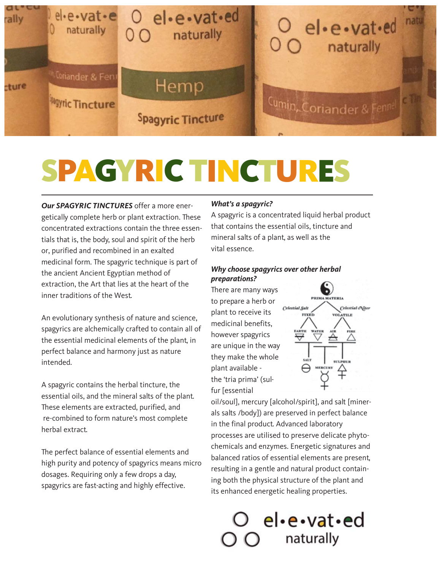

# SPAGYRIC TINCTURES

*Our SPAGYRIC TINCTURES* offer a more energetically complete herb or plant extraction. These concentrated extractions contain the three essentials that is, the body, soul and spirit of the herb or, purified and recombined in an exalted medicinal form. The spagyric technique is part of the ancient Ancient Egyptian method of extraction, the Art that lies at the heart of the inner traditions of the West.

An evolutionary synthesis of nature and science, spagyrics are alchemically crafted to contain all of the essential medicinal elements of the plant, in perfect balance and harmony just as nature intended.

A spagyric contains the herbal tincture, the essential oils, and the mineral salts of the plant. These elements are extracted, purified, and re-combined to form nature's most complete herbal extract.

The perfect balance of essential elements and high purity and potency of spagyrics means micro dosages. Requiring only a few drops a day, spagyrics are fast-acting and highly effective.

## *What's a spagyric?*

A spagyric is a concentrated liquid herbal product that contains the essential oils, tincture and mineral salts of a plant, as well as the vital essence.

## *Why choose spagyrics over other herbal preparations?*

There are many ways to prepare a herb or plant to receive its medicinal benefits, however spagyrics are unique in the way they make the whole plant available the 'tria prima' (sulfur [essential



oil/soul], mercury [alcohol/spirit], and salt [minerals salts /body]) are preserved in perfect balance in the final product. Advanced laboratory processes are utilised to preserve delicate phytochemicals and enzymes. Energetic signatures and balanced ratios of essential elements are present, resulting in a gentle and natural product containing both the physical structure of the plant and its enhanced energetic healing properties.

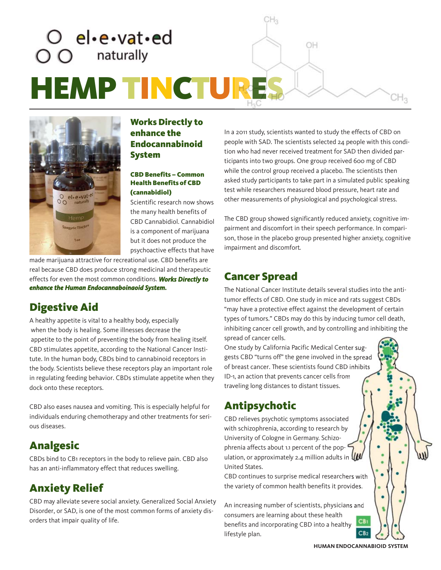



## Works Directly to enhance the Endocannabinoid System

#### CBD Benefits – Common Health Benefits of CBD (cannabidiol)

Scientific research now shows the many health benefits of CBD Cannabidiol. Cannabidiol is a component of marijuana but it does not produce the psychoactive effects that have

made marijuana attractive for recreational use. CBD benefits are real because CBD does produce strong medicinal and therapeutic effects for even the most common conditions. *Works Directly to enhance the Human Endocannaboinaoid System.*

## Digestive Aid

A healthy appetite is vital to a healthy body, especially when the body is healing. Some illnesses decrease the appetite to the point of preventing the body from healing itself. CBD stimulates appetite, according to the National Cancer Institute. In the human body, CBDs bind to cannabinoid receptors in the body. Scientists believe these receptors play an important role in regulating feeding behavior. CBDs stimulate appetite when they dock onto these receptors.

CBD also eases nausea and vomiting. This is especially helpful for individuals enduring chemotherapy and other treatments for serious diseases.

## Analgesic

CBDs bind to CB1 receptors in the body to relieve pain. CBD also has an anti-inflammatory effect that reduces swelling.

## Anxiety Relief

CBD may alleviate severe social anxiety. Generalized Social Anxiety Disorder, or SAD, is one of the most common forms of anxiety disorders that impair quality of life.

In a 2011 study, scientists wanted to study the effects of CBD on people with SAD. The scientists selected 24 people with this condition who had never received treatment for SAD then divided participants into two groups. One group received 600 mg of CBD while the control group received a placebo. The scientists then asked study participants to take part in a simulated public speaking test while researchers measured blood pressure, heart rate and other measurements of physiological and psychological stress.

The CBD group showed significantly reduced anxiety, cognitive impairment and discomfort in their speech performance. In comparison, those in the placebo group presented higher anxiety, cognitive impairment and discomfort.

## Cancer Spread

 $CH<sub>3</sub>$ 

The National Cancer Institute details several studies into the antitumor effects of CBD. One study in mice and rats suggest CBDs "may have a protective effect against the development of certain types of tumors." CBDs may do this by inducing tumor cell death, inhibiting cancer cell growth, and by controlling and inhibiting the spread of cancer cells.

One study by California Pacific Medical Center suggests CBD "turns off" the gene involved in the spread of breast cancer. These scientists found CBD inhibits ID-1, an action that prevents cancer cells from traveling long distances to distant tissues.

## Antipsychotic

CBD relieves psychotic symptoms associated with schizophrenia, according to research by University of Cologne in Germany. Schizophrenia affects about 1.1 percent of the population, or approximately 2.4 million adults in  $\mathbf{u}$ United States.

CBD continues to surprise medical researchers with the variety of common health benefits it provides.

An increasing number of scientists, physicians and consumers are learning about these health benefits and incorporating CBD into a healthy lifestyle plan.



 $CH<sub>3</sub>$ 

**HUMAN ENDOCANNABIOID SYSTEM**